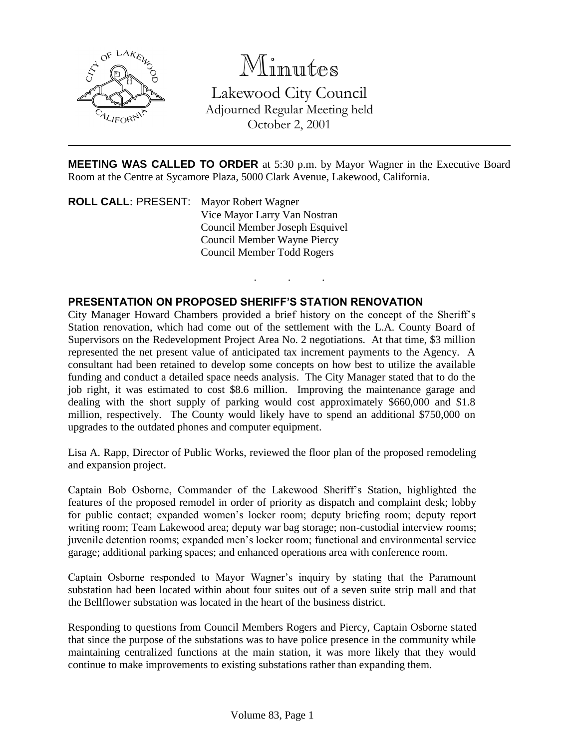

# Minutes

Lakewood City Council Adjourned Regular Meeting held October 2, 2001

**MEETING WAS CALLED TO ORDER** at 5:30 p.m. by Mayor Wagner in the Executive Board Room at the Centre at Sycamore Plaza, 5000 Clark Avenue, Lakewood, California.

. . .

**ROLL CALL**: PRESENT: Mayor Robert Wagner Vice Mayor Larry Van Nostran Council Member Joseph Esquivel Council Member Wayne Piercy Council Member Todd Rogers

## **PRESENTATION ON PROPOSED SHERIFF'S STATION RENOVATION**

City Manager Howard Chambers provided a brief history on the concept of the Sheriff's Station renovation, which had come out of the settlement with the L.A. County Board of Supervisors on the Redevelopment Project Area No. 2 negotiations. At that time, \$3 million represented the net present value of anticipated tax increment payments to the Agency. A consultant had been retained to develop some concepts on how best to utilize the available funding and conduct a detailed space needs analysis. The City Manager stated that to do the job right, it was estimated to cost \$8.6 million. Improving the maintenance garage and dealing with the short supply of parking would cost approximately \$660,000 and \$1.8 million, respectively. The County would likely have to spend an additional \$750,000 on upgrades to the outdated phones and computer equipment.

Lisa A. Rapp, Director of Public Works, reviewed the floor plan of the proposed remodeling and expansion project.

Captain Bob Osborne, Commander of the Lakewood Sheriff's Station, highlighted the features of the proposed remodel in order of priority as dispatch and complaint desk; lobby for public contact; expanded women's locker room; deputy briefing room; deputy report writing room; Team Lakewood area; deputy war bag storage; non-custodial interview rooms; juvenile detention rooms; expanded men's locker room; functional and environmental service garage; additional parking spaces; and enhanced operations area with conference room.

Captain Osborne responded to Mayor Wagner's inquiry by stating that the Paramount substation had been located within about four suites out of a seven suite strip mall and that the Bellflower substation was located in the heart of the business district.

Responding to questions from Council Members Rogers and Piercy, Captain Osborne stated that since the purpose of the substations was to have police presence in the community while maintaining centralized functions at the main station, it was more likely that they would continue to make improvements to existing substations rather than expanding them.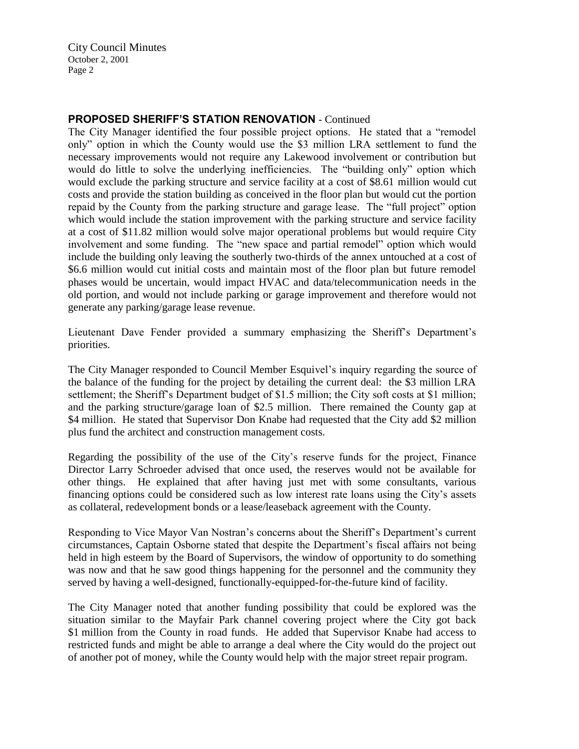City Council Minutes October 2, 2001 Page 2

### **PROPOSED SHERIFF'S STATION RENOVATION** - Continued

The City Manager identified the four possible project options. He stated that a "remodel only" option in which the County would use the \$3 million LRA settlement to fund the necessary improvements would not require any Lakewood involvement or contribution but would do little to solve the underlying inefficiencies. The "building only" option which would exclude the parking structure and service facility at a cost of \$8.61 million would cut costs and provide the station building as conceived in the floor plan but would cut the portion repaid by the County from the parking structure and garage lease. The "full project" option which would include the station improvement with the parking structure and service facility at a cost of \$11.82 million would solve major operational problems but would require City involvement and some funding. The "new space and partial remodel" option which would include the building only leaving the southerly two-thirds of the annex untouched at a cost of \$6.6 million would cut initial costs and maintain most of the floor plan but future remodel phases would be uncertain, would impact HVAC and data/telecommunication needs in the old portion, and would not include parking or garage improvement and therefore would not generate any parking/garage lease revenue.

Lieutenant Dave Fender provided a summary emphasizing the Sheriff's Department's priorities.

The City Manager responded to Council Member Esquivel's inquiry regarding the source of the balance of the funding for the project by detailing the current deal: the \$3 million LRA settlement; the Sheriff's Department budget of \$1.5 million; the City soft costs at \$1 million; and the parking structure/garage loan of \$2.5 million. There remained the County gap at \$4 million. He stated that Supervisor Don Knabe had requested that the City add \$2 million plus fund the architect and construction management costs.

Regarding the possibility of the use of the City's reserve funds for the project, Finance Director Larry Schroeder advised that once used, the reserves would not be available for other things. He explained that after having just met with some consultants, various financing options could be considered such as low interest rate loans using the City's assets as collateral, redevelopment bonds or a lease/leaseback agreement with the County.

Responding to Vice Mayor Van Nostran's concerns about the Sheriff's Department's current circumstances, Captain Osborne stated that despite the Department's fiscal affairs not being held in high esteem by the Board of Supervisors, the window of opportunity to do something was now and that he saw good things happening for the personnel and the community they served by having a well-designed, functionally-equipped-for-the-future kind of facility.

The City Manager noted that another funding possibility that could be explored was the situation similar to the Mayfair Park channel covering project where the City got back \$1 million from the County in road funds. He added that Supervisor Knabe had access to restricted funds and might be able to arrange a deal where the City would do the project out of another pot of money, while the County would help with the major street repair program.